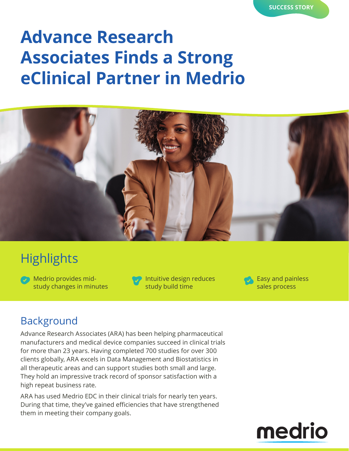# **Advance Research Associates Finds a Strong eClinical Partner in Medrio**



## **Highlights**

Medrio provides midstudy changes in minutes



Intuitive design reduces study build time

Easy and painless sales process

#### Background

Advance Research Associates (ARA) has been helping pharmaceutical manufacturers and medical device companies succeed in clinical trials for more than 23 years. Having completed 700 studies for over 300 clients globally, ARA excels in Data Management and Biostatistics in all therapeutic areas and can support studies both small and large. They hold an impressive track record of sponsor satisfaction with a high repeat business rate.

ARA has used Medrio EDC in their clinical trials for nearly ten years. During that time, they've gained efficiencies that have strengthened them in meeting their company goals.

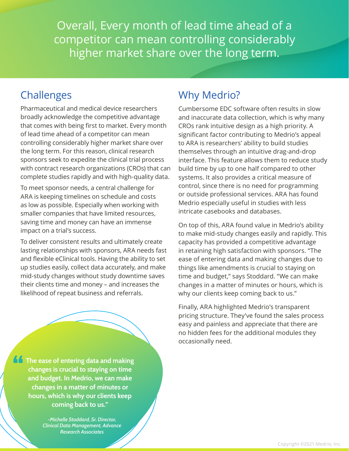Overall, Every month of lead time ahead of a competitor can mean controlling considerably higher market share over the long term.

### **Challenges**

Pharmaceutical and medical device researchers broadly acknowledge the competitive advantage that comes with being first to market. Every month of lead time ahead of a competitor can mean controlling considerably higher market share over the long term. For this reason, clinical research sponsors seek to expedite the clinical trial process with contract research organizations (CROs) that can complete studies rapidly and with high-quality data.

To meet sponsor needs, a central challenge for ARA is keeping timelines on schedule and costs as low as possible. Especially when working with smaller companies that have limited resources, saving time and money can have an immense impact on a trial's success.

To deliver consistent results and ultimately create lasting relationships with sponsors, ARA needs fast and flexible eClinical tools. Having the ability to set up studies easily, collect data accurately, and make mid-study changes without study downtime saves their clients time and money – and increases the likelihood of repeat business and referrals.

**The ease of entering data and making changes is crucial to staying on time and budget. In Medrio, we can make changes in a matter of minutes or hours, which is why our clients keep coming back to us."**

> *-Michelle Stoddard, Sr. Director, Clinical Data Management, Advance Research Associates*

## Why Medrio?

Cumbersome EDC software often results in slow and inaccurate data collection, which is why many CROs rank intuitive design as a high priority. A significant factor contributing to Medrio's appeal to ARA is researchers' ability to build studies themselves through an intuitive drag-and-drop interface. This feature allows them to reduce study build time by up to one half compared to other systems. It also provides a critical measure of control, since there is no need for programming or outside professional services. ARA has found Medrio especially useful in studies with less intricate casebooks and databases.

On top of this, ARA found value in Medrio's ability to make mid-study changes easily and rapidly. This capacity has provided a competitive advantage in retaining high satisfaction with sponsors. "The ease of entering data and making changes due to things like amendments is crucial to staying on time and budget," says Stoddard. "We can make changes in a matter of minutes or hours, which is why our clients keep coming back to us."

Finally, ARA highlighted Medrio's transparent pricing structure. They've found the sales process easy and painless and appreciate that there are no hidden fees for the additional modules they occasionally need.